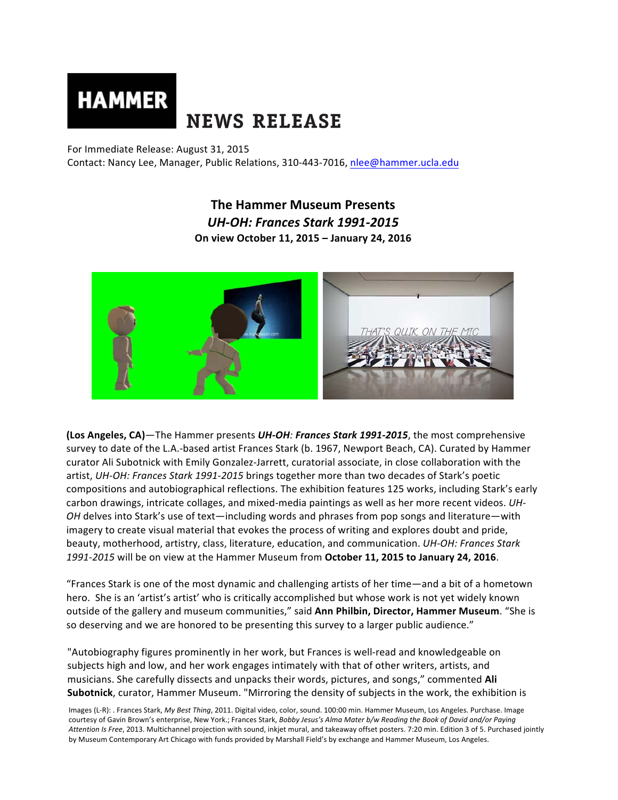# **HAMMER NEWS RELEASE**

For Immediate Release: August 31, 2015

Contact: Nancy Lee, Manager, Public Relations, 310-443-7016, nlee@hammer.ucla.edu

# **The Hammer Museum Presents** *UH-OH: Frances Stark 1991-2015*  **On view October 11, 2015 – January 24, 2016**



**(Los Angeles, CA)**—The Hammer presents *UH-OH: Frances Stark 1991-2015*, the most comprehensive survey to date of the L.A.-based artist Frances Stark (b. 1967, Newport Beach, CA). Curated by Hammer curator Ali Subotnick with Emily Gonzalez-Jarrett, curatorial associate, in close collaboration with the artist, UH-OH: Frances Stark 1991-2015 brings together more than two decades of Stark's poetic compositions and autobiographical reflections. The exhibition features 125 works, including Stark's early carbon drawings, intricate collages, and mixed-media paintings as well as her more recent videos. UH-*OH* delves into Stark's use of text—including words and phrases from pop songs and literature—with imagery to create visual material that evokes the process of writing and explores doubt and pride, beauty, motherhood, artistry, class, literature, education, and communication. *UH-OH: Frances Stark* 1991-2015 will be on view at the Hammer Museum from October 11, 2015 to January 24, 2016.

"Frances Stark is one of the most dynamic and challenging artists of her time—and a bit of a hometown hero. She is an 'artist's artist' who is critically accomplished but whose work is not yet widely known outside of the gallery and museum communities," said Ann Philbin, Director, Hammer Museum. "She is so deserving and we are honored to be presenting this survey to a larger public audience."

"Autobiography figures prominently in her work, but Frances is well-read and knowledgeable on subjects high and low, and her work engages intimately with that of other writers, artists, and musicians. She carefully dissects and unpacks their words, pictures, and songs," commented Ali **Subotnick**, curator, Hammer Museum. "Mirroring the density of subjects in the work, the exhibition is

Images (L-R): . Frances Stark, My Best Thing, 2011. Digital video, color, sound. 100:00 min. Hammer Museum, Los Angeles. Purchase. Image courtesy of Gavin Brown's enterprise, New York.; Frances Stark, *Bobby Jesus's Alma Mater b/w Reading the Book of David and/or Paying* Attention Is Free, 2013. Multichannel projection with sound, inkjet mural, and takeaway offset posters. 7:20 min. Edition 3 of 5. Purchased jointly by Museum Contemporary Art Chicago with funds provided by Marshall Field's by exchange and Hammer Museum, Los Angeles.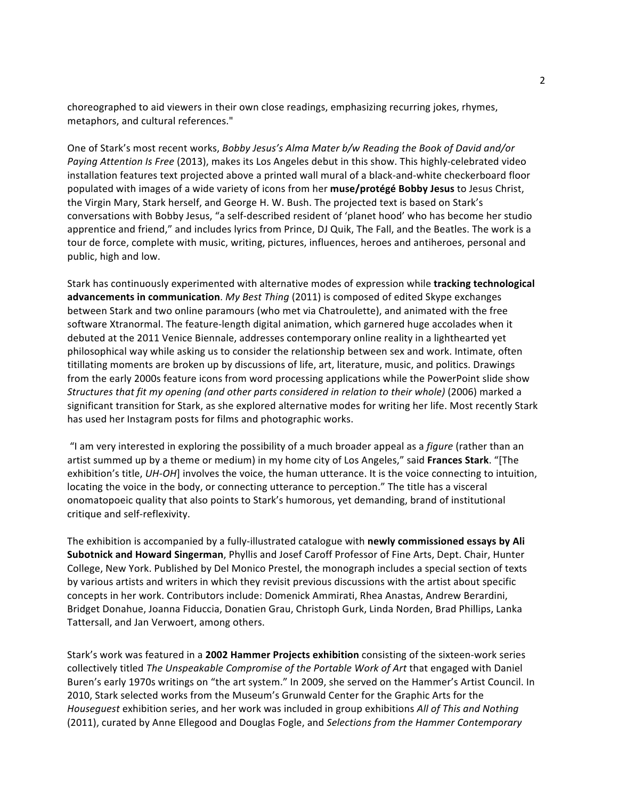choreographed to aid viewers in their own close readings, emphasizing recurring jokes, rhymes, metaphors, and cultural references."

One of Stark's most recent works, *Bobby Jesus's Alma Mater b/w Reading the Book of David and/or* Paying Attention Is Free (2013), makes its Los Angeles debut in this show. This highly-celebrated video installation features text projected above a printed wall mural of a black-and-white checkerboard floor populated with images of a wide variety of icons from her muse/protégé Bobby Jesus to Jesus Christ, the Virgin Mary, Stark herself, and George H. W. Bush. The projected text is based on Stark's conversations with Bobby Jesus, "a self-described resident of 'planet hood' who has become her studio apprentice and friend," and includes lyrics from Prince, DJ Quik, The Fall, and the Beatles. The work is a tour de force, complete with music, writing, pictures, influences, heroes and antiheroes, personal and public, high and low.

Stark has continuously experimented with alternative modes of expression while *tracking technological* **advancements in communication**. *My Best Thing* (2011) is composed of edited Skype exchanges between Stark and two online paramours (who met via Chatroulette), and animated with the free software Xtranormal. The feature-length digital animation, which garnered huge accolades when it debuted at the 2011 Venice Biennale, addresses contemporary online reality in a lighthearted yet philosophical way while asking us to consider the relationship between sex and work. Intimate, often titillating moments are broken up by discussions of life, art, literature, music, and politics. Drawings from the early 2000s feature icons from word processing applications while the PowerPoint slide show *Structures that fit my opening (and other parts considered in relation to their whole)* (2006) marked a significant transition for Stark, as she explored alternative modes for writing her life. Most recently Stark has used her Instagram posts for films and photographic works.

"I am very interested in exploring the possibility of a much broader appeal as a *figure* (rather than an artist summed up by a theme or medium) in my home city of Los Angeles," said Frances Stark. "[The exhibition's title, *UH-OH*] involves the voice, the human utterance. It is the voice connecting to intuition, locating the voice in the body, or connecting utterance to perception." The title has a visceral onomatopoeic quality that also points to Stark's humorous, yet demanding, brand of institutional critique and self-reflexivity. 

The exhibition is accompanied by a fully-illustrated catalogue with **newly commissioned essays by Ali Subotnick and Howard Singerman**, Phyllis and Josef Caroff Professor of Fine Arts, Dept. Chair, Hunter College, New York. Published by Del Monico Prestel, the monograph includes a special section of texts by various artists and writers in which they revisit previous discussions with the artist about specific concepts in her work. Contributors include: Domenick Ammirati, Rhea Anastas, Andrew Berardini, Bridget Donahue, Joanna Fiduccia, Donatien Grau, Christoph Gurk, Linda Norden, Brad Phillips, Lanka Tattersall, and Jan Verwoert, among others.

Stark's work was featured in a 2002 Hammer Projects exhibition consisting of the sixteen-work series collectively titled *The Unspeakable Compromise of the Portable Work of Art* that engaged with Daniel Buren's early 1970s writings on "the art system." In 2009, she served on the Hammer's Artist Council. In 2010, Stark selected works from the Museum's Grunwald Center for the Graphic Arts for the *Housequest* exhibition series, and her work was included in group exhibitions *All of This and Nothing* (2011), curated by Anne Ellegood and Douglas Fogle, and *Selections from the Hammer Contemporary*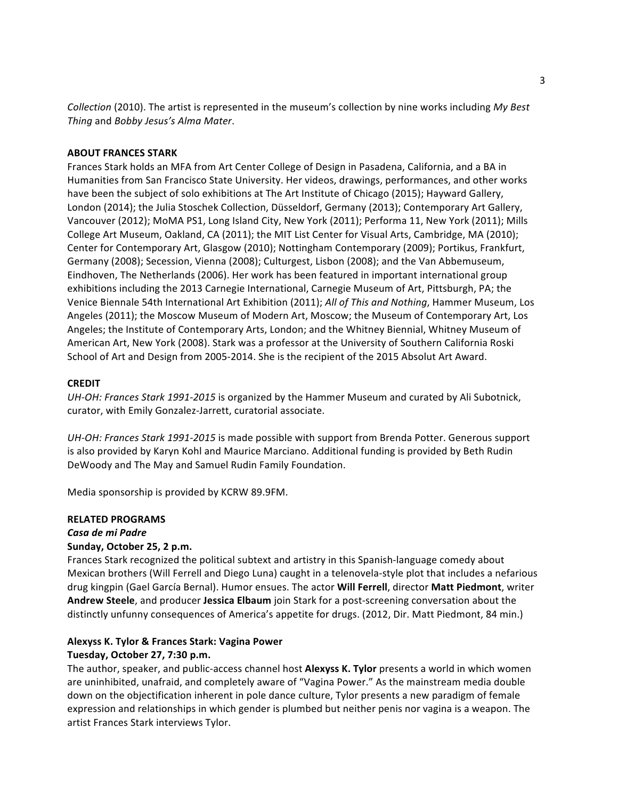*Collection* (2010). The artist is represented in the museum's collection by nine works including My Best *Thing* and *Bobby Jesus's Alma Mater*. 

#### **ABOUT FRANCES STARK**

Frances Stark holds an MFA from Art Center College of Design in Pasadena, California, and a BA in Humanities from San Francisco State University. Her videos, drawings, performances, and other works have been the subject of solo exhibitions at The Art Institute of Chicago (2015); Hayward Gallery, London (2014); the Julia Stoschek Collection, Düsseldorf, Germany (2013); Contemporary Art Gallery, Vancouver (2012); MoMA PS1, Long Island City, New York (2011); Performa 11, New York (2011); Mills College Art Museum, Oakland, CA (2011); the MIT List Center for Visual Arts, Cambridge, MA (2010); Center for Contemporary Art, Glasgow (2010); Nottingham Contemporary (2009); Portikus, Frankfurt, Germany (2008); Secession, Vienna (2008); Culturgest, Lisbon (2008); and the Van Abbemuseum, Eindhoven, The Netherlands (2006). Her work has been featured in important international group exhibitions including the 2013 Carnegie International, Carnegie Museum of Art, Pittsburgh, PA; the Venice Biennale 54th International Art Exhibition (2011); *All of This and Nothing*, Hammer Museum, Los Angeles (2011); the Moscow Museum of Modern Art, Moscow; the Museum of Contemporary Art, Los Angeles; the Institute of Contemporary Arts, London; and the Whitney Biennial, Whitney Museum of American Art, New York (2008). Stark was a professor at the University of Southern California Roski School of Art and Design from 2005-2014. She is the recipient of the 2015 Absolut Art Award.

#### **CREDIT**

UH-OH: Frances Stark 1991-2015 is organized by the Hammer Museum and curated by Ali Subotnick, curator, with Emily Gonzalez-Jarrett, curatorial associate.

UH-OH: Frances Stark 1991-2015 is made possible with support from Brenda Potter. Generous support is also provided by Karyn Kohl and Maurice Marciano. Additional funding is provided by Beth Rudin DeWoody and The May and Samuel Rudin Family Foundation.

Media sponsorship is provided by KCRW 89.9FM.

#### **RELATED PROGRAMS**

#### *Casa de mi Padre*

#### **Sunday, October 25, 2 p.m.**

Frances Stark recognized the political subtext and artistry in this Spanish-language comedy about Mexican brothers (Will Ferrell and Diego Luna) caught in a telenovela-style plot that includes a nefarious drug kingpin (Gael García Bernal). Humor ensues. The actor Will Ferrell, director Matt Piedmont, writer **Andrew Steele**, and producer Jessica Elbaum join Stark for a post-screening conversation about the distinctly unfunny consequences of America's appetite for drugs. (2012, Dir. Matt Piedmont, 84 min.)

# Alexyss K. Tylor & Frances Stark: Vagina Power

# **Tuesday, October 27, 7:30 p.m.**

The author, speaker, and public-access channel host **Alexyss K. Tylor** presents a world in which women are uninhibited, unafraid, and completely aware of "Vagina Power." As the mainstream media double down on the objectification inherent in pole dance culture, Tylor presents a new paradigm of female expression and relationships in which gender is plumbed but neither penis nor vagina is a weapon. The artist Frances Stark interviews Tylor.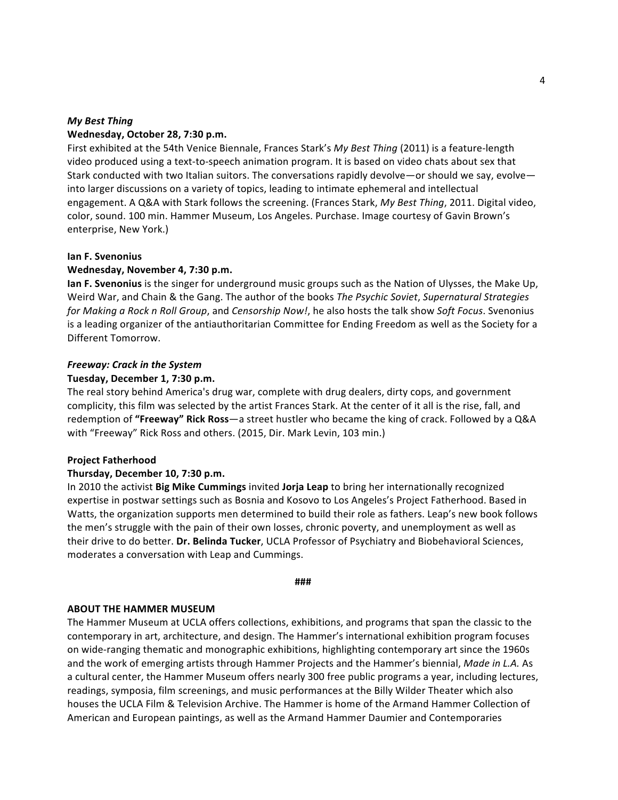# *My Best Thing* **Wednesday, October 28, 7:30 p.m.**

First exhibited at the 54th Venice Biennale, Frances Stark's *My Best Thing* (2011) is a feature-length video produced using a text-to-speech animation program. It is based on video chats about sex that Stark conducted with two Italian suitors. The conversations rapidly devolve—or should we say, evolve into larger discussions on a variety of topics, leading to intimate ephemeral and intellectual engagement. A Q&A with Stark follows the screening. (Frances Stark, *My Best Thing*, 2011. Digital video, color, sound. 100 min. Hammer Museum, Los Angeles. Purchase. Image courtesy of Gavin Brown's enterprise, New York.)

# **Ian F. Svenonius**

# **Wednesday, November 4, 7:30 p.m.**

**Ian F. Svenonius** is the singer for underground music groups such as the Nation of Ulysses, the Make Up, Weird War, and Chain & the Gang. The author of the books *The Psychic Soviet*, *Supernatural Strategies for Making a Rock n Roll Group*, and *Censorship Now!*, he also hosts the talk show *Soft Focus*. Svenonius is a leading organizer of the antiauthoritarian Committee for Ending Freedom as well as the Society for a Different Tomorrow.

#### *Freeway: Crack in the System*

#### **Tuesday, December 1, 7:30 p.m.**

The real story behind America's drug war, complete with drug dealers, dirty cops, and government complicity, this film was selected by the artist Frances Stark. At the center of it all is the rise, fall, and redemption of "Freeway" Rick Ross-a street hustler who became the king of crack. Followed by a Q&A with "Freeway" Rick Ross and others. (2015, Dir. Mark Levin, 103 min.)

# **Project Fatherhood**

# **Thursday, December 10, 7:30 p.m.**

In 2010 the activist **Big Mike Cummings** invited **Jorja Leap** to bring her internationally recognized expertise in postwar settings such as Bosnia and Kosovo to Los Angeles's Project Fatherhood. Based in Watts, the organization supports men determined to build their role as fathers. Leap's new book follows the men's struggle with the pain of their own losses, chronic poverty, and unemployment as well as their drive to do better. **Dr. Belinda Tucker**, UCLA Professor of Psychiatry and Biobehavioral Sciences, moderates a conversation with Leap and Cummings.

#### **###**

#### **ABOUT THE HAMMER MUSEUM**

The Hammer Museum at UCLA offers collections, exhibitions, and programs that span the classic to the contemporary in art, architecture, and design. The Hammer's international exhibition program focuses on wide-ranging thematic and monographic exhibitions, highlighting contemporary art since the 1960s and the work of emerging artists through Hammer Projects and the Hammer's biennial, *Made in L.A. As* a cultural center, the Hammer Museum offers nearly 300 free public programs a year, including lectures, readings, symposia, film screenings, and music performances at the Billy Wilder Theater which also houses the UCLA Film & Television Archive. The Hammer is home of the Armand Hammer Collection of American and European paintings, as well as the Armand Hammer Daumier and Contemporaries